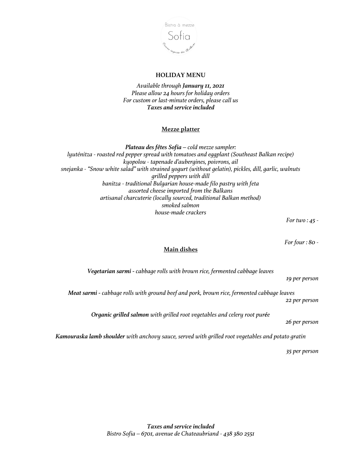

### **HOLIDAY MENU**

*Available through January 11, 2021 Please allow 24 hours for holiday orders For custom or last-minute orders, please call us Taxes and service included*

# **Mezze platter**

*Plateau des fêtes Sofia – cold mezze sampler: lyuténitza - roasted red pepper spread with tomatoes and eggplant (Southeast Balkan recipe) kyopolou - tapenade d'aubergines, poivrons, ail snejanka - "Snow white salad" with strained yogurt (without gelatin), pickles, dill, garlic, walnuts grilled peppers with dill banitza - traditional Bulgarian house-made filo pastry with feta assorted cheese imported from the Balkans artisanal charcuterie (locally sourced, traditional Balkan method) smoked salmon house-made crackers*

*For two : 45 -*

*For four : 80 -*

*19 per person*

# **Main dishes**

*Vegetarian sarmi - cabbage rolls with brown rice, fermented cabbage leaves*

*Meat sarmi - cabbage rolls with ground beef and pork, brown rice, fermented cabbage leaves 22 per person*

*Organic grilled salmon with grilled root vegetables and celery root purée* 

*26 per person*

*Kamouraska lamb shoulder with anchovy sauce, served with grilled root vegetables and potato gratin* 

*35 per person*

*Taxes and service included Bistro Sofia – 6701, avenue de Chateaubriand - 438 380 2551*